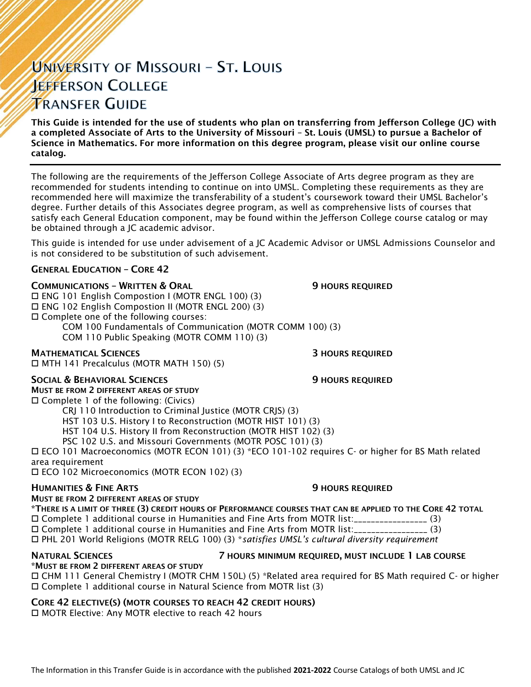# UNIVERSITY OF MISSOURI - ST. LOUIS **JEFFERSON COLLEGE TRANSFER GUIDE**

This Guide is intended for the use of students who plan on transferring from Jefferson College (JC) with a completed Associate of Arts to the University of Missouri – St. Louis (UMSL) to pursue a Bachelor of Science in Mathematics. For more information on this degree program, please visit our online course catalog.

The following are the requirements of the Jefferson College Associate of Arts degree program as they are recommended for students intending to continue on into UMSL. Completing these requirements as they are recommended here will maximize the transferability of a student's coursework toward their UMSL Bachelor's degree. Further details of this Associates degree program, as well as comprehensive lists of courses that satisfy each General Education component, may be found within the Jefferson College course catalog or may be obtained through a JC academic advisor.

This guide is intended for use under advisement of a JC Academic Advisor or UMSL Admissions Counselor and is not considered to be substitution of such advisement.

### GENERAL EDUCATION – CORE 42

### **COMMUNICATIONS - WRITTEN & ORAL 5 AU SERVICE SECULAR SECULAR SECULAR SERVICED**

 ENG 101 English Compostion I (MOTR ENGL 100) (3) ENG 102 English Compostion II (MOTR ENGL 200) (3) Complete one of the following courses: COM 100 Fundamentals of Communication (MOTR COMM 100) (3)

COM 110 Public Speaking (MOTR COMM 110) (3)

### **MATHEMATICAL SCIENCES 3 HOURS REQUIRED**

MTH 141 Precalculus (MOTR MATH 150) (5)

### SOCIAL & BEHAVIORAL SCIENCES **19 SOCIAL SERVICES** 9 HOURS REQUIRED

MUST BE FROM 2 DIFFERENT AREAS OF STUDY  $\square$  Complete 1 of the following: (Civics)

CRJ 110 Introduction to Criminal Justice (MOTR CRJS) (3)

HST 103 U.S. History I to Reconstruction (MOTR HIST 101) (3)

HST 104 U.S. History II from Reconstruction (MOTR HIST 102) (3)

PSC 102 U.S. and Missouri Governments (MOTR POSC 101) (3)

 ECO 101 Macroeconomics (MOTR ECON 101) (3) \*ECO 101-102 requires C- or higher for BS Math related area requirement

ECO 102 Microeconomics (MOTR ECON 102) (3)

### HUMANITIES & FINE ARTS 9 HOURS REQUIRED

MUST BE FROM 2 DIFFERENT AREAS OF STUDY

\*THERE IS A LIMIT OF THREE (3) CREDIT HOURS OF PERFORMANCE COURSES THAT CAN BE APPLIED TO THE CORE 42 TOTAL Complete 1 additional course in Humanities and Fine Arts from MOTR list:\_\_\_\_\_\_\_\_\_\_\_\_\_\_\_\_\_ (3) Complete 1 additional course in Humanities and Fine Arts from MOTR list:\_\_\_\_\_\_\_\_\_\_\_\_\_\_\_\_\_ (3) PHL 201 World Religions (MOTR RELG 100) (3) \**satisfies UMSL's cultural diversity requirement*

### NATURAL SCIENCES 7 HOURS MINIMUM REQUIRED, MUST INCLUDE 1 LAB COURSE

\*MUST BE FROM 2 DIFFERENT AREAS OF STUDY CHM 111 General Chemistry I (MOTR CHM 150L) (5) \*Related area required for BS Math required C- or higher

Complete 1 additional course in Natural Science from MOTR list (3)

### CORE 42 ELECTIVE(S) (MOTR COURSES TO REACH 42 CREDIT HOURS)

□ MOTR Elective: Any MOTR elective to reach 42 hours